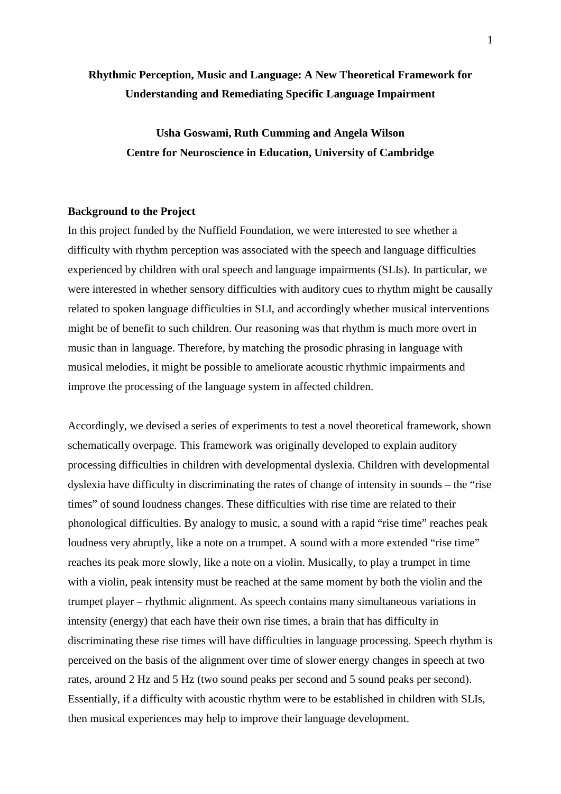# **Rhythmic Perception, Music and Language: A New Theoretical Framework for Understanding and Remediating Specific Language Impairment**

**Usha Goswami, Ruth Cumming and Angela Wilson Centre for Neuroscience in Education, University of Cambridge**

## **Background to the Project**

In this project funded by the Nuffield Foundation, we were interested to see whether a difficulty with rhythm perception was associated with the speech and language difficulties experienced by children with oral speech and language impairments (SLIs). In particular, we were interested in whether sensory difficulties with auditory cues to rhythm might be causally related to spoken language difficulties in SLI, and accordingly whether musical interventions might be of benefit to such children. Our reasoning was that rhythm is much more overt in music than in language. Therefore, by matching the prosodic phrasing in language with musical melodies, it might be possible to ameliorate acoustic rhythmic impairments and improve the processing of the language system in affected children.

Accordingly, we devised a series of experiments to test a novel theoretical framework, shown schematically overpage. This framework was originally developed to explain auditory processing difficulties in children with developmental dyslexia. Children with developmental dyslexia have difficulty in discriminating the rates of change of intensity in sounds – the "rise times" of sound loudness changes. These difficulties with rise time are related to their phonological difficulties. By analogy to music, a sound with a rapid "rise time" reaches peak loudness very abruptly, like a note on a trumpet. A sound with a more extended "rise time" reaches its peak more slowly, like a note on a violin. Musically, to play a trumpet in time with a violin, peak intensity must be reached at the same moment by both the violin and the trumpet player – rhythmic alignment. As speech contains many simultaneous variations in intensity (energy) that each have their own rise times, a brain that has difficulty in discriminating these rise times will have difficulties in language processing. Speech rhythm is perceived on the basis of the alignment over time of slower energy changes in speech at two rates, around 2 Hz and 5 Hz (two sound peaks per second and 5 sound peaks per second). Essentially, if a difficulty with acoustic rhythm were to be established in children with SLIs, then musical experiences may help to improve their language development.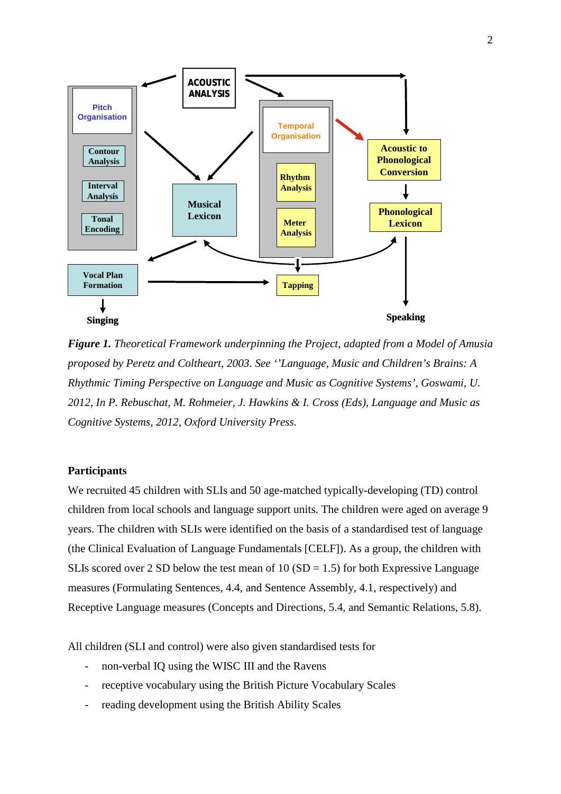

*Figure 1. Theoretical Framework underpinning the Project, adapted from a Model of Amusia proposed by Peretz and Coltheart, 2003. See ''Language, Music and Children's Brains: A Rhythmic Timing Perspective on Language and Music as Cognitive Systems', Goswami, U. 2012, In P. Rebuschat, M. Rohmeier, J. Hawkins & I. Cross (Eds), Language and Music as Cognitive Systems, 2012, Oxford University Press.*

# **Participants**

We recruited 45 children with SLIs and 50 age-matched typically-developing (TD) control children from local schools and language support units. The children were aged on average 9 years. The children with SLIs were identified on the basis of a standardised test of language (the Clinical Evaluation of Language Fundamentals [CELF]). As a group, the children with SLIs scored over 2 SD below the test mean of 10 (SD = 1.5) for both Expressive Language measures (Formulating Sentences, 4.4, and Sentence Assembly, 4.1, respectively) and Receptive Language measures (Concepts and Directions, 5.4, and Semantic Relations, 5.8).

All children (SLI and control) were also given standardised tests for

- non-verbal IQ using the WISC III and the Ravens
- receptive vocabulary using the British Picture Vocabulary Scales
- reading development using the British Ability Scales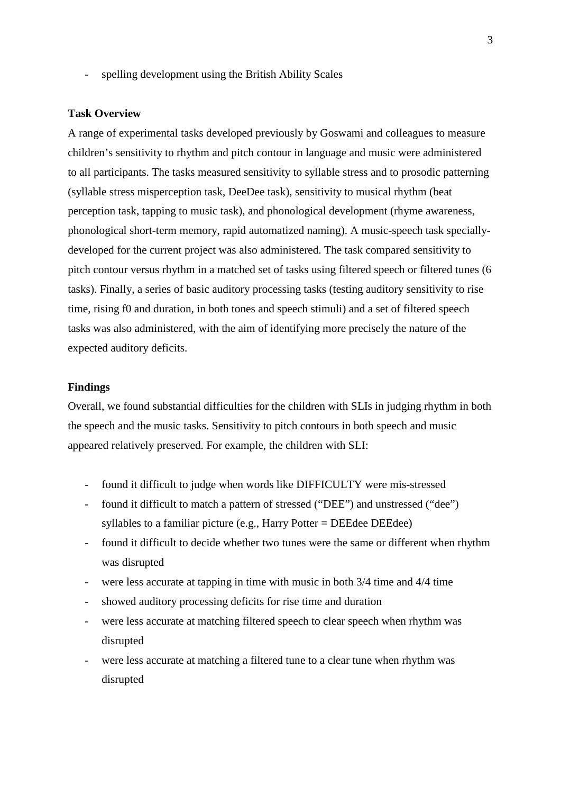spelling development using the British Ability Scales

#### **Task Overview**

A range of experimental tasks developed previously by Goswami and colleagues to measure children's sensitivity to rhythm and pitch contour in language and music were administered to all participants. The tasks measured sensitivity to syllable stress and to prosodic patterning (syllable stress misperception task, DeeDee task), sensitivity to musical rhythm (beat perception task, tapping to music task), and phonological development (rhyme awareness, phonological short-term memory, rapid automatized naming). A music-speech task speciallydeveloped for the current project was also administered. The task compared sensitivity to pitch contour versus rhythm in a matched set of tasks using filtered speech or filtered tunes (6 tasks). Finally, a series of basic auditory processing tasks (testing auditory sensitivity to rise time, rising f0 and duration, in both tones and speech stimuli) and a set of filtered speech tasks was also administered, with the aim of identifying more precisely the nature of the expected auditory deficits.

# **Findings**

Overall, we found substantial difficulties for the children with SLIs in judging rhythm in both the speech and the music tasks. Sensitivity to pitch contours in both speech and music appeared relatively preserved. For example, the children with SLI:

- found it difficult to judge when words like DIFFICULTY were mis-stressed
- found it difficult to match a pattern of stressed ("DEE") and unstressed ("dee") syllables to a familiar picture (e.g., Harry Potter = DEEdee DEEdee)
- found it difficult to decide whether two tunes were the same or different when rhythm was disrupted
- were less accurate at tapping in time with music in both  $3/4$  time and  $4/4$  time
- showed auditory processing deficits for rise time and duration
- were less accurate at matching filtered speech to clear speech when rhythm was disrupted
- were less accurate at matching a filtered tune to a clear tune when rhythm was disrupted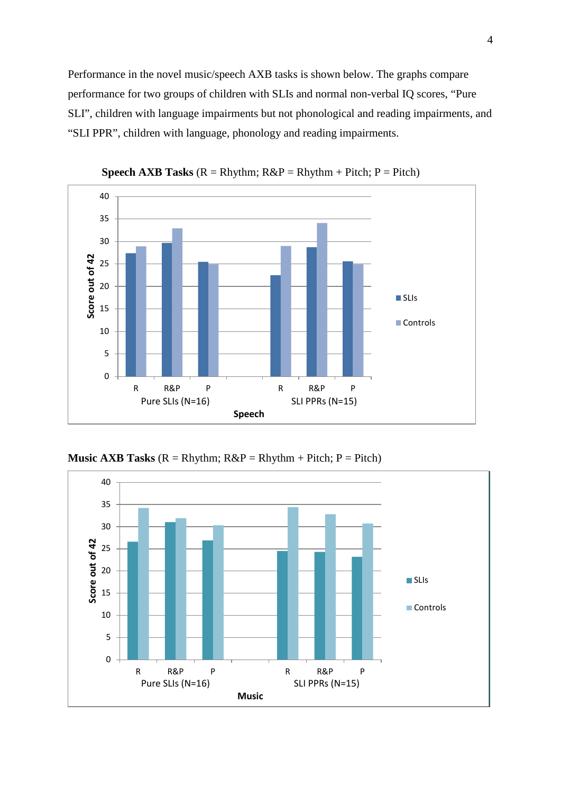Performance in the novel music/speech AXB tasks is shown below. The graphs compare performance for two groups of children with SLIs and normal non-verbal IQ scores, "Pure SLI", children with language impairments but not phonological and reading impairments, and "SLI PPR", children with language, phonology and reading impairments.



**Speech AXB Tasks** ( $R = R$ hythm;  $R\&P = R$ hythm + Pitch;  $P =$  Pitch)



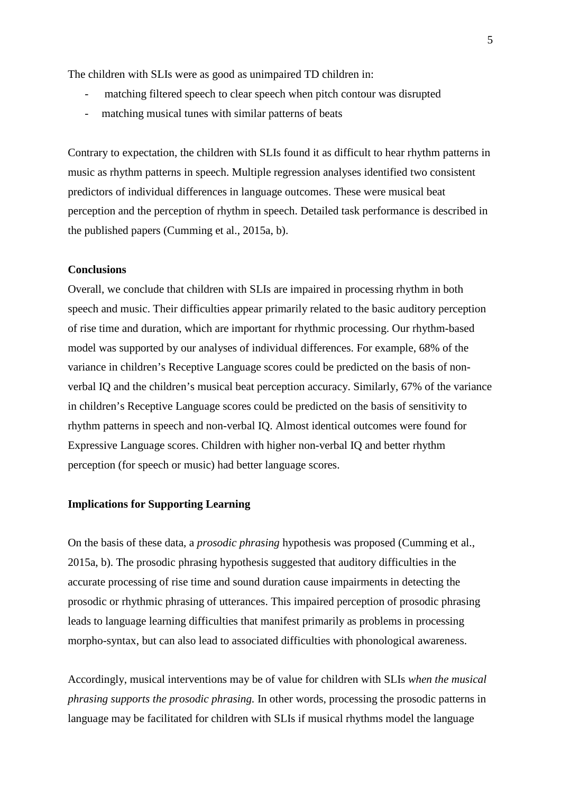The children with SLIs were as good as unimpaired TD children in:

- matching filtered speech to clear speech when pitch contour was disrupted
- matching musical tunes with similar patterns of beats

Contrary to expectation, the children with SLIs found it as difficult to hear rhythm patterns in music as rhythm patterns in speech. Multiple regression analyses identified two consistent predictors of individual differences in language outcomes. These were musical beat perception and the perception of rhythm in speech. Detailed task performance is described in the published papers (Cumming et al., 2015a, b).

## **Conclusions**

Overall, we conclude that children with SLIs are impaired in processing rhythm in both speech and music. Their difficulties appear primarily related to the basic auditory perception of rise time and duration, which are important for rhythmic processing. Our rhythm-based model was supported by our analyses of individual differences. For example, 68% of the variance in children's Receptive Language scores could be predicted on the basis of nonverbal IQ and the children's musical beat perception accuracy. Similarly, 67% of the variance in children's Receptive Language scores could be predicted on the basis of sensitivity to rhythm patterns in speech and non-verbal IQ. Almost identical outcomes were found for Expressive Language scores. Children with higher non-verbal IQ and better rhythm perception (for speech or music) had better language scores.

## **Implications for Supporting Learning**

On the basis of these data, a *prosodic phrasing* hypothesis was proposed (Cumming et al., 2015a, b). The prosodic phrasing hypothesis suggested that auditory difficulties in the accurate processing of rise time and sound duration cause impairments in detecting the prosodic or rhythmic phrasing of utterances. This impaired perception of prosodic phrasing leads to language learning difficulties that manifest primarily as problems in processing morpho-syntax, but can also lead to associated difficulties with phonological awareness.

Accordingly, musical interventions may be of value for children with SLIs *when the musical phrasing supports the prosodic phrasing.* In other words, processing the prosodic patterns in language may be facilitated for children with SLIs if musical rhythms model the language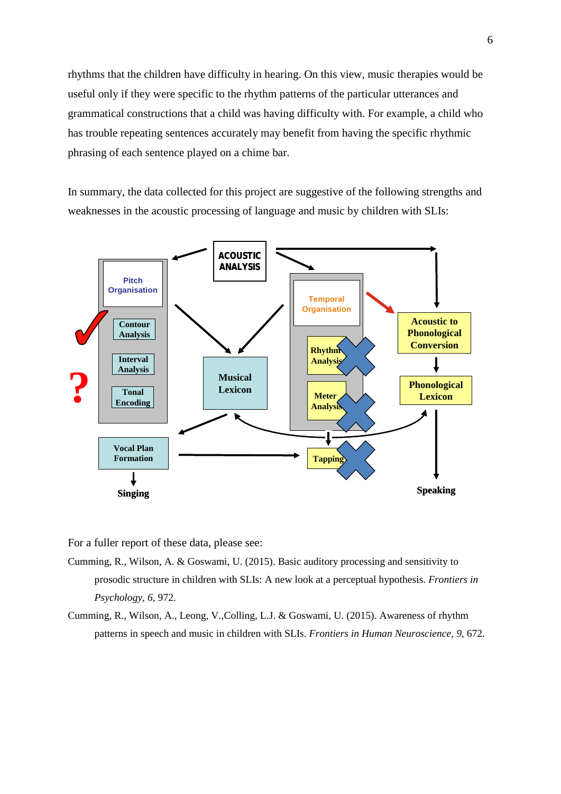rhythms that the children have difficulty in hearing. On this view, music therapies would be useful only if they were specific to the rhythm patterns of the particular utterances and grammatical constructions that a child was having difficulty with. For example, a child who has trouble repeating sentences accurately may benefit from having the specific rhythmic phrasing of each sentence played on a chime bar.

In summary, the data collected for this project are suggestive of the following strengths and weaknesses in the acoustic processing of language and music by children with SLIs:



For a fuller report of these data, please see:

- Cumming, R., Wilson, A. & Goswami, U. (2015). Basic auditory processing and sensitivity to prosodic structure in children with SLIs: A new look at a perceptual hypothesis. *Frontiers in Psychology, 6,* 972.
- Cumming, R., Wilson, A., Leong, V.,Colling, L.J. & Goswami, U. (2015). Awareness of rhythm patterns in speech and music in children with SLIs. *Frontiers in Human Neuroscience, 9*, 672.